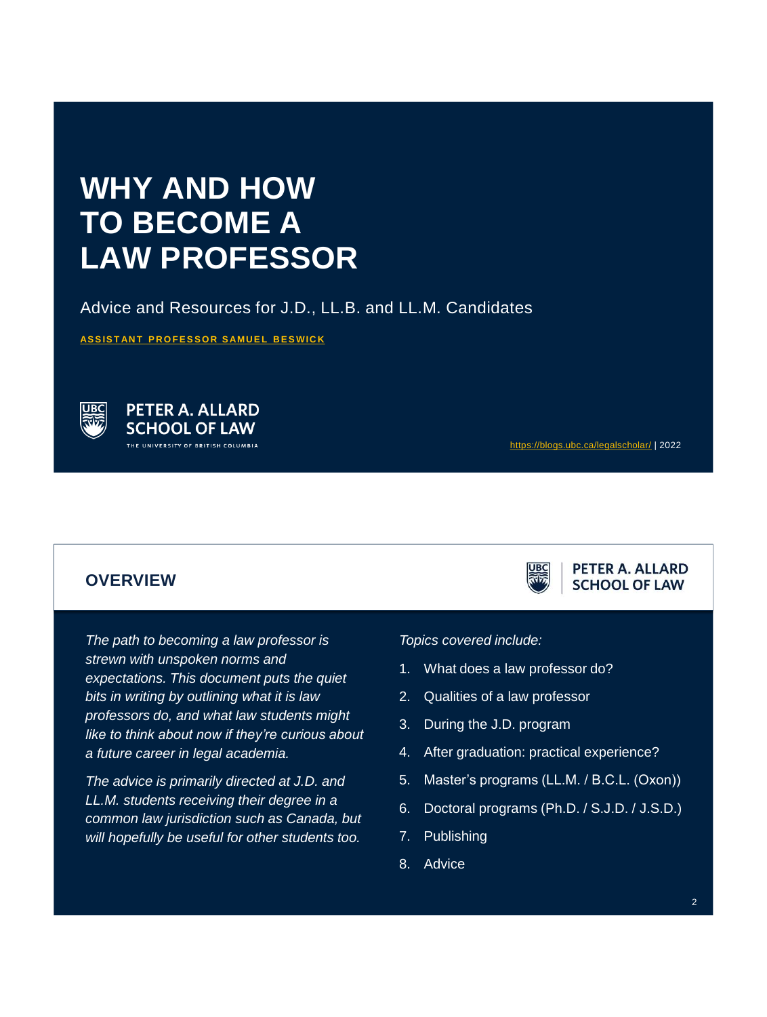# **WHY AND HOW TO BECOME A LAW PROFESSOR**

Advice and Resources for J.D., LL.B. and LL.M. Candidates

**ASSISTANT PROFESSOR SAMUEL BESWICK** 



**PETER A. ALLARD SCHOOL OF LAW** .<br>THE UNIVERSITY OF BRITISH COLUMBIA

<https://blogs.ubc.ca/legalscholar/> | 2022

PETER A. ALLARD **SCHOOL OF LAW** 

### **OVERVIEW**

*The path to becoming a law professor is strewn with unspoken norms and expectations. This document puts the quiet bits in writing by outlining what it is law professors do, and what law students might like to think about now if they're curious about a future career in legal academia.* 

*The advice is primarily directed at J.D. and LL.M. students receiving their degree in a common law jurisdiction such as Canada, but will hopefully be useful for other students too.* 

#### *Topics covered include:*

- 1. What does a law professor do?
- 2. Qualities of a law professor
- 3. During the J.D. program
- 4. After graduation: practical experience?
- 5. Master's programs (LL.M. / B.C.L. (Oxon))
- 6. Doctoral programs (Ph.D. / S.J.D. / J.S.D.)
- 7. Publishing
- 8. Advice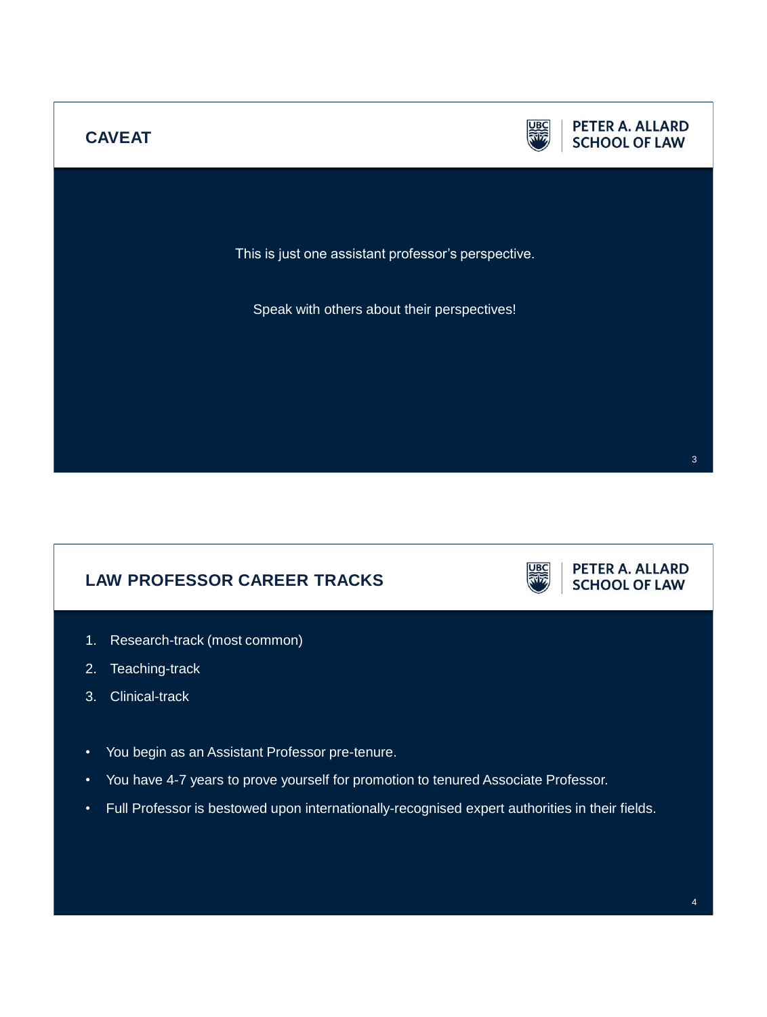

# **LAW PROFESSOR CAREER TRACKS**



**PETER A. ALLARD SCHOOL OF LAW** 

- 1. Research-track (most common)
- 2. Teaching-track
- 3. Clinical-track
- You begin as an Assistant Professor pre-tenure.
- You have 4-7 years to prove yourself for promotion to tenured Associate Professor.
- Full Professor is bestowed upon internationally-recognised expert authorities in their fields.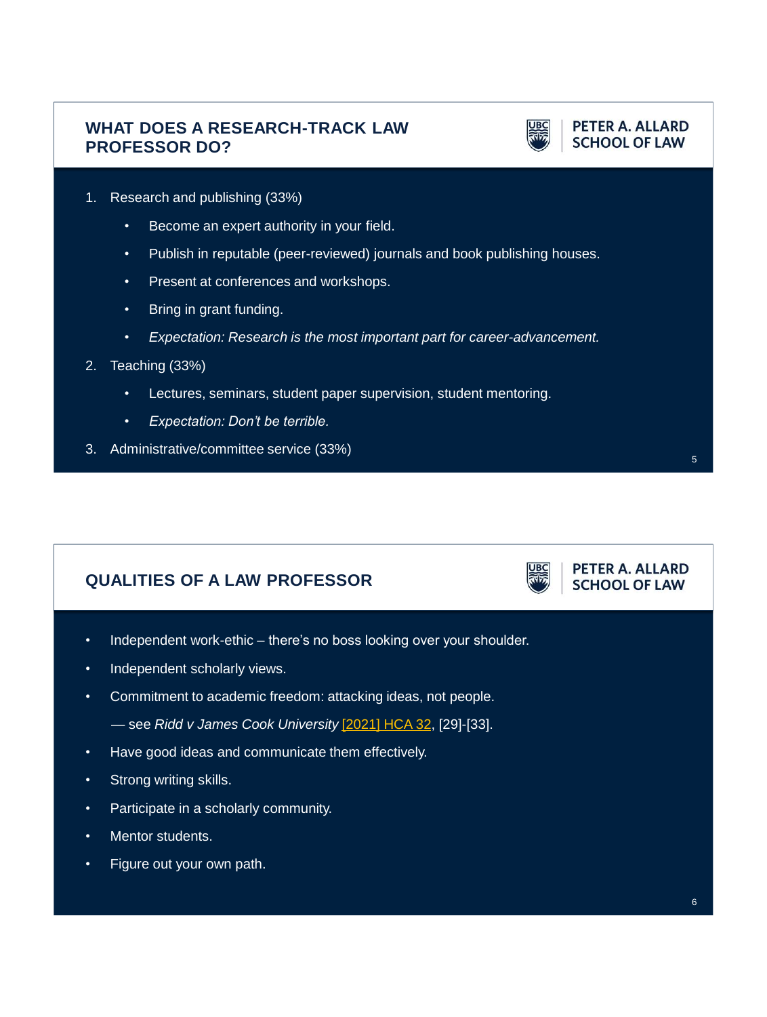# **WHAT DOES A RESEARCH-TRACK LAW PROFESSOR DO?**



**PETER A. ALLARD SCHOOL OF LAW** 

- 1. Research and publishing (33%)
	- Become an expert authority in your field.
	- Publish in reputable (peer-reviewed) journals and book publishing houses.
	- Present at conferences and workshops.
	- Bring in grant funding.
	- *Expectation: Research is the most important part for career-advancement.*
- 2. Teaching (33%)
	- Lectures, seminars, student paper supervision, student mentoring.
	- *Expectation: Don't be terrible.*
- 3. Administrative/committee service (33%)

# **QUALITIES OF A LAW PROFESSOR**

PETER A. ALLARD **SCHOOL OF LAW** 

- Independent work-ethic there's no boss looking over your shoulder.
- Independent scholarly views.
- Commitment to academic freedom: attacking ideas, not people.
	- see *Ridd v James Cook University* [\[2021\] HCA 32](http://www.austlii.edu.au/cgi-bin/viewdoc/au/cases/cth/HCA/2021/32.html#fnB21), [29]-[33].
- Have good ideas and communicate them effectively.
- Strong writing skills.
- Participate in a scholarly community.
- Mentor students.
- Figure out your own path.

5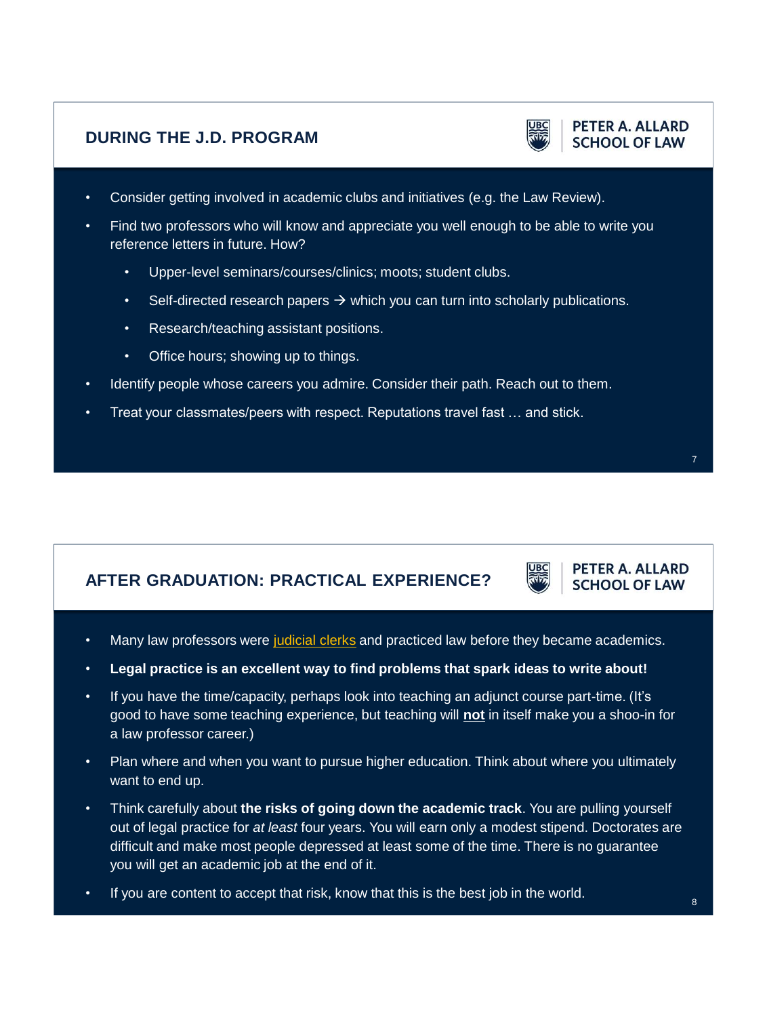# **DURING THE J.D. PROGRAM**



### PETER A. ALLARD **SCHOOL OF LAW**

- Consider getting involved in academic clubs and initiatives (e.g. the Law Review).
- Find two professors who will know and appreciate you well enough to be able to write you reference letters in future. How?
	- Upper-level seminars/courses/clinics; moots; student clubs.
	- Self-directed research papers  $\rightarrow$  which you can turn into scholarly publications.
	- Research/teaching assistant positions.
	- Office hours; showing up to things.
- Identify people whose careers you admire. Consider their path. Reach out to them.
- Treat your classmates/peers with respect. Reputations travel fast … and stick.

# **AFTER GRADUATION: PRACTICAL EXPERIENCE?**



PETER A. ALLARD **SCHOOL OF LAW** 

- Many law professors were [judicial clerks](https://www.scc-csc.ca/empl/lc-aj-eng.aspx) and practiced law before they became academics.
- **Legal practice is an excellent way to find problems that spark ideas to write about!**
- If you have the time/capacity, perhaps look into teaching an adjunct course part-time. (It's good to have some teaching experience, but teaching will **not** in itself make you a shoo-in for a law professor career.)
- Plan where and when you want to pursue higher education. Think about where you ultimately want to end up.
- Think carefully about **the risks of going down the academic track**. You are pulling yourself out of legal practice for *at least* four years. You will earn only a modest stipend. Doctorates are difficult and make most people depressed at least some of the time. There is no guarantee you will get an academic job at the end of it.
- If you are content to accept that risk, know that this is the best job in the world.

7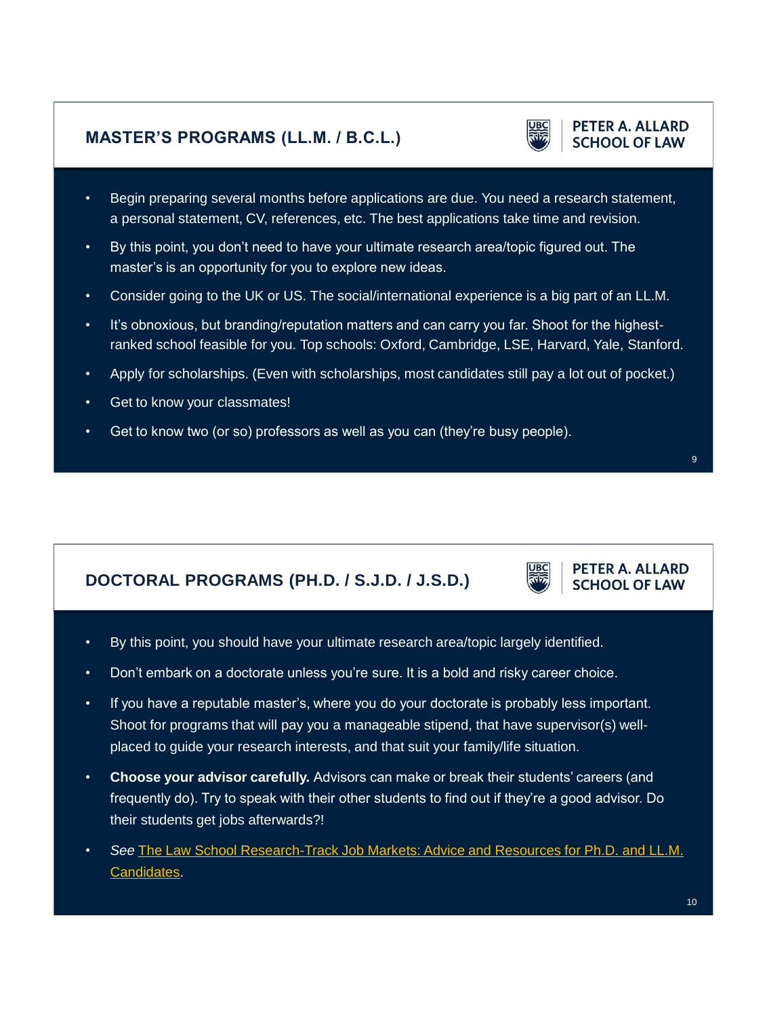# **MASTER'S PROGRAMS (LL.M. / B.C.L.)**

- Begin preparing several months before applications are due. You need a research statement, a personal statement, CV, references, etc. The best applications take time and revision.
- By this point, you don't need to have your ultimate research area/topic figured out. The master's is an opportunity for you to explore new ideas.
- Consider going to the UK or US. The social/international experience is a big part of an LL.M.
- It's obnoxious, but branding/reputation matters and can carry you far. Shoot for the highestranked school feasible for you. Top schools: Oxford, Cambridge, LSE, Harvard, Yale, Stanford.
- Apply for scholarships. (Even with scholarships, most candidates still pay a lot out of pocket.)
- Get to know your classmates!
- Get to know two (or so) professors as well as you can (they're busy people).

# **DOCTORAL PROGRAMS (PH.D. / S.J.D. / J.S.D.)**

- By this point, you should have your ultimate research area/topic largely identified.
- Don't embark on a doctorate unless you're sure. It is a bold and risky career choice.
- If you have a reputable master's, where you do your doctorate is probably less important. Shoot for programs that will pay you a manageable stipend, that have supervisor(s) wellplaced to guide your research interests, and that suit your family/life situation.
- **Choose your advisor carefully.** Advisors can make or break their students' careers (and frequently do). Try to speak with their other students to find out if they're a good advisor. Do their students get jobs afterwards?!
- *See* [The Law School Research-Track Job Markets: Advice and Resources for Ph.D. and LL.M.](https://ssrn.com/abstract=3956670) Candidates.

# PETER A. ALLARD

9

**SCHOOL OF LAW** 

PETER A. ALLARD **SCHOOL OF LAW**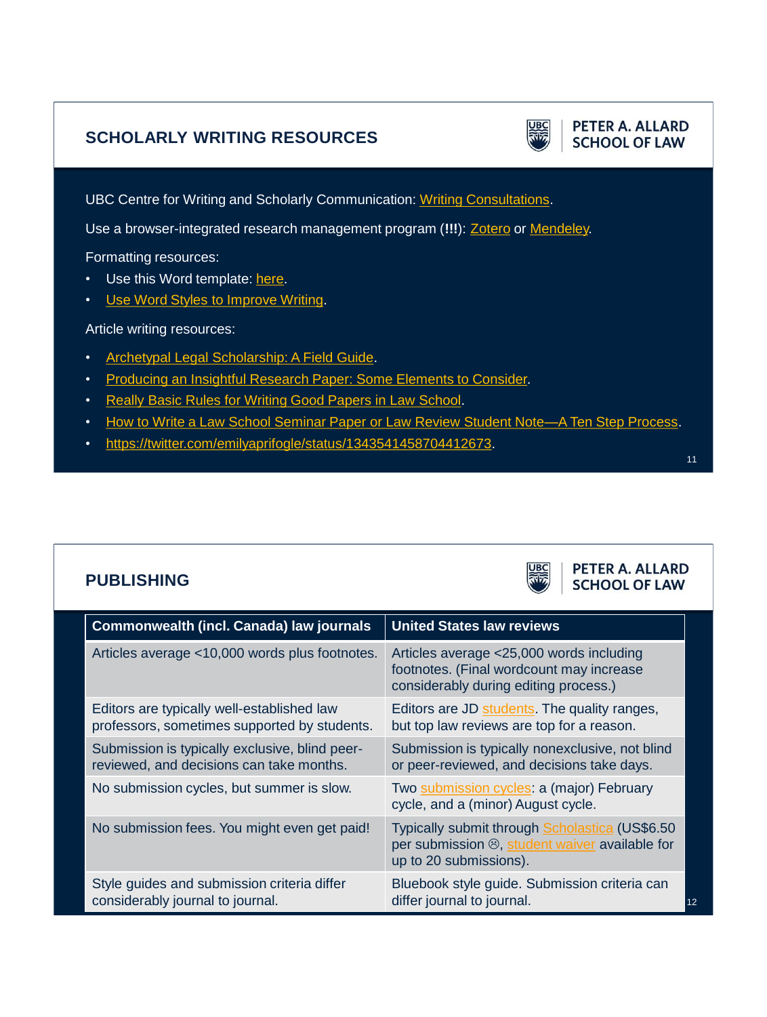# **SCHOLARLY WRITING RESOURCES**



**PETER A. ALLARD SCHOOL OF LAW** 

UBC Centre for Writing and Scholarly Communication: [Writing Consultations.](https://writing.library.ubc.ca/graduates/writing-consultations/)

Use a browser-integrated research management program (**!!!**): [Zotero](https://www.zotero.org/) or [Mendeley.](https://www.mendeley.com/download-reference-manager/)

Formatting resources:

- Use this Word template: [here.](https://www2.law.ucla.edu/volokh/writing/)
- [Use Word Styles to Improve Writing](http://youtu.be/Dw87mOHYgt0).

Article writing resources:

- [Archetypal Legal Scholarship: A Field Guide.](https://jle.aals.org/home/vol63/iss1/4/)
- [Producing an Insightful Research Paper: Some Elements to Consider.](https://ssrn.com/abstract=1685422)
- [Really Basic Rules for Writing Good Papers in Law School.](https://papers.ssrn.com/abstract=3647633)
- How to Write a Law School Seminar Paper or Law Review Student Note-A Ten Step Process.
- [https://twitter.com/emilyaprifogle/status/1343541458704412673.](https://twitter.com/emilyaprifogle/status/1343541458704412673)

# **PUBLISHING**



**PETER A. ALLARD SCHOOL OF LAW** 

| <b>Commonwealth (incl. Canada) law journals</b>                                            | <b>United States law reviews</b>                                                                                              |
|--------------------------------------------------------------------------------------------|-------------------------------------------------------------------------------------------------------------------------------|
| Articles average <10,000 words plus footnotes.                                             | Articles average <25,000 words including<br>footnotes. (Final wordcount may increase<br>considerably during editing process.) |
| Editors are typically well-established law<br>professors, sometimes supported by students. | Editors are JD students. The quality ranges,<br>but top law reviews are top for a reason.                                     |
| Submission is typically exclusive, blind peer-<br>reviewed, and decisions can take months. | Submission is typically nonexclusive, not blind<br>or peer-reviewed, and decisions take days.                                 |
| No submission cycles, but summer is slow.                                                  | Two submission cycles: a (major) February<br>cycle, and a (minor) August cycle.                                               |
| No submission fees. You might even get paid!                                               | Typically submit through Scholastica (US\$6.50<br>per submission ®, student waiver available for<br>up to 20 submissions).    |
| Style guides and submission criteria differ<br>considerably journal to journal.            | Bluebook style guide. Submission criteria can<br>differ journal to journal.<br>12                                             |